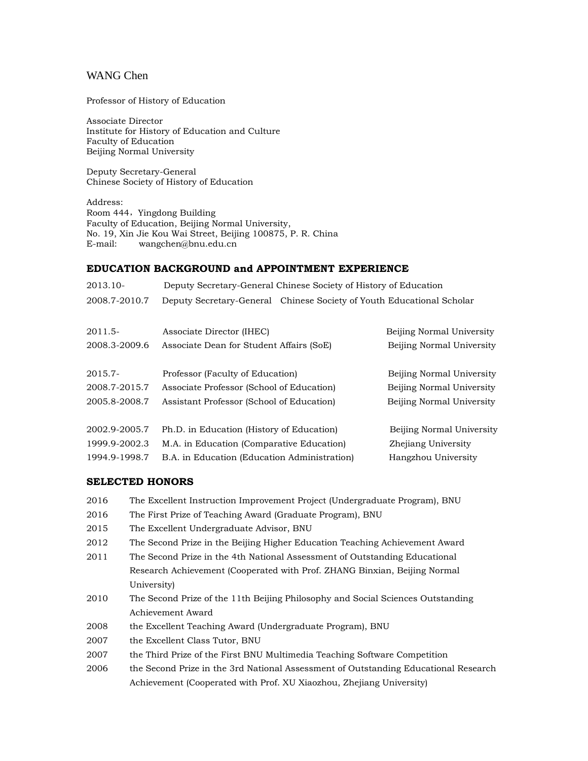# WANG Chen

Professor of History of Education

Associate Director Institute for History of Education and Culture Faculty of Education Beijing Normal University

Deputy Secretary-General Chinese Society of History of Education

Address: Room 444, Yingdong Building Faculty of Education, Beijing Normal University, No. 19, Xin Jie Kou Wai Street, Beijing 100875, P. R. China E-mail: [wangchen@bnu.edu.cn](mailto:wangchen@bnu.edu.cn)

## **EDUCATION BACKGROUND and APPOINTMENT EXPERIENCE**

| Deputy Secretary-General Chinese Society of History of Education      |                           |
|-----------------------------------------------------------------------|---------------------------|
| Deputy Secretary-General Chinese Society of Youth Educational Scholar |                           |
| Associate Director (IHEC)                                             | Beijing Normal University |
| Associate Dean for Student Affairs (SoE)                              | Beijing Normal University |
| Professor (Faculty of Education)                                      | Beijing Normal University |
| Associate Professor (School of Education)                             | Beijing Normal University |
| Assistant Professor (School of Education)                             | Beijing Normal University |
| Ph.D. in Education (History of Education)                             | Beijing Normal University |
| M.A. in Education (Comparative Education)                             | Zhejiang University       |
| B.A. in Education (Education Administration)                          | Hangzhou University       |
|                                                                       |                           |

## **SELECTED HONORS**

| 2016 | The Excellent Instruction Improvement Project (Undergraduate Program), BNU          |  |
|------|-------------------------------------------------------------------------------------|--|
| 2016 | The First Prize of Teaching Award (Graduate Program), BNU                           |  |
| 2015 | The Excellent Undergraduate Advisor, BNU                                            |  |
| 2012 | The Second Prize in the Beijing Higher Education Teaching Achievement Award         |  |
| 2011 | The Second Prize in the 4th National Assessment of Outstanding Educational          |  |
|      | Research Achievement (Cooperated with Prof. ZHANG Binxian, Beijing Normal           |  |
|      | University)                                                                         |  |
| 2010 | The Second Prize of the 11th Beijing Philosophy and Social Sciences Outstanding     |  |
|      | Achievement Award                                                                   |  |
| 2008 | the Excellent Teaching Award (Undergraduate Program), BNU                           |  |
| 2007 | the Excellent Class Tutor, BNU                                                      |  |
| 2007 | the Third Prize of the First BNU Multimedia Teaching Software Competition           |  |
| 2006 | the Second Prize in the 3rd National Assessment of Outstanding Educational Research |  |
|      | Achievement (Cooperated with Prof. XU Xiaozhou, Zhejiang University)                |  |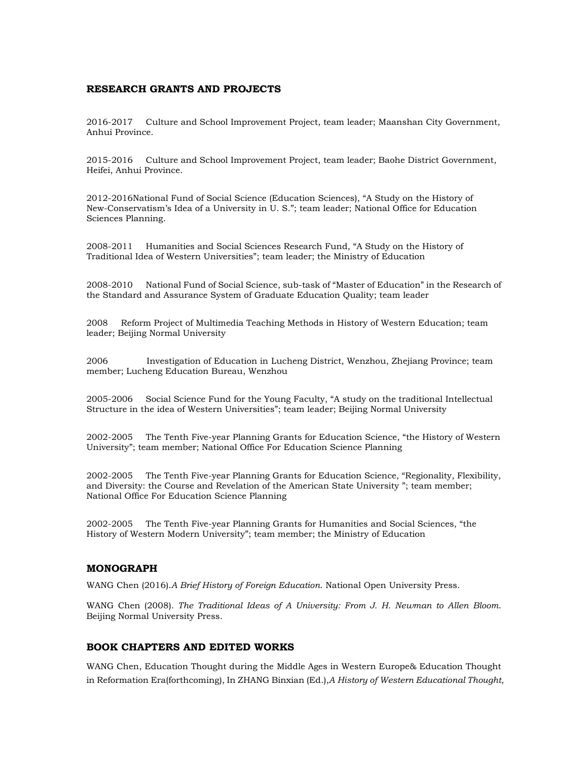## **RESEARCH GRANTS AND PROJECTS**

2016-2017 Culture and School Improvement Project, team leader; Maanshan City Government, Anhui Province.

2015-2016 Culture and School Improvement Project, team leader; Baohe District Government, Heifei, Anhui Province.

2012-2016National Fund of Social Science (Education Sciences), "A Study on the History of New-Conservatism's Idea of a University in U. S."; team leader; National Office for Education Sciences Planning.

2008-2011 Humanities and Social Sciences Research Fund, "A Study on the History of Traditional Idea of Western Universities"; team leader; the Ministry of Education

2008-2010 National Fund of Social Science, sub-task of "Master of Education" in the Research of the Standard and Assurance System of Graduate Education Quality; team leader

2008 Reform Project of Multimedia Teaching Methods in History of Western Education; team leader; Beijing Normal University

2006 Investigation of Education in Lucheng District, Wenzhou, Zhejiang Province; team member; Lucheng Education Bureau, Wenzhou

2005-2006 Social Science Fund for the Young Faculty, "A study on the traditional Intellectual Structure in the idea of Western Universities"; team leader; Beijing Normal University

2002-2005 The Tenth Five-year Planning Grants for Education Science, "the History of Western University"; team member; National Office For Education Science Planning

2002-2005 The Tenth Five-year Planning Grants for Education Science, "Regionality, Flexibility, and Diversity: the Course and Revelation of the American State University "; team member; National Office For Education Science Planning

2002-2005 The Tenth Five-year Planning Grants for Humanities and Social Sciences, "the History of Western Modern University"; team member; the Ministry of Education

### **MONOGRAPH**

WANG Chen (2016).*A Brief History of Foreign Education*. National Open University Press.

WANG Chen (2008). *The Traditional Ideas of A University: From J. H. Newman to Allen Bloom*. Beijing Normal University Press.

#### **BOOK CHAPTERS AND EDITED WORKS**

WANG Chen, Education Thought during the Middle Ages in Western Europe& Education Thought in Reformation Era(forthcoming), In ZHANG Binxian (Ed.),*A History of Western Educational Thought*,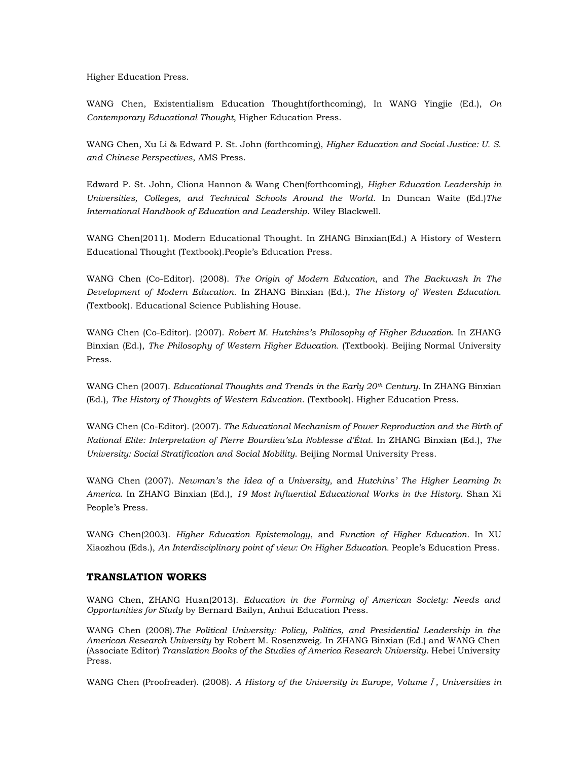Higher Education Press.

WANG Chen, Existentialism Education Thought(forthcoming), In WANG Yingjie (Ed.), *On Contemporary Educational Thought*, Higher Education Press.

WANG Chen, Xu Li & Edward P. St. John (forthcoming), *Higher Education and Social Justice: U. S. and Chinese Perspectives*, AMS Press.

Edward P. St. John, Cliona Hannon & Wang Chen(forthcoming), *Higher Education Leadership in Universities, Colleges, and Technical Schools Around the World*. In Duncan Waite (Ed.)*The International Handbook of Education and Leadership*. Wiley Blackwell.

WANG Chen(2011). Modern Educational Thought. In ZHANG Binxian(Ed.) A History of Western Educational Thought (Textbook).People's Education Press.

WANG Chen (Co-Editor). (2008). *The Origin of Modern Education*, and *The Backwash In The Development of Modern Education*. In ZHANG Binxian (Ed.), *The History of Westen Education.* (Textbook). Educational Science Publishing House.

WANG Chen (Co-Editor). (2007). *Robert M. Hutchins's Philosophy of Higher Education*. In ZHANG Binxian (Ed.), *The Philosophy of Western Higher Education.* (Textbook). Beijing Normal University Press.

WANG Chen (2007). *Educational Thoughts and Trends in the Early 20th Century.* In ZHANG Binxian (Ed.), *The History of Thoughts of Western Education*. (Textbook). Higher Education Press.

WANG Chen (Co-Editor). (2007). *The Educational Mechanism of Power Reproduction and the Birth of National Elite: Interpretation of Pierre Bourdieu'sLa Noblesse d'État*. In ZHANG Binxian (Ed.), *The University: Social Stratification and Social Mobility*. Beijing Normal University Press.

WANG Chen (2007). *Newman's the Idea of a University*, and *Hutchins' The Higher Learning In America*. In ZHANG Binxian (Ed.), *19 Most Influential Educational Works in the History.* Shan Xi People's Press.

WANG Chen(2003). *Higher Education Epistemology*, and *Function of Higher Education.* In XU Xiaozhou (Eds.), *An Interdisciplinary point of view: On Higher Education.* People's Education Press.

#### **TRANSLATION WORKS**

WANG Chen, ZHANG Huan(2013). *Education in the Forming of American Society: Needs and Opportunities for Study* by Bernard Bailyn, Anhui Education Press.

WANG Chen (2008).*The Political University: Policy, Politics, and Presidential Leadership in the American Research University* by Robert M. Rosenzweig. In ZHANG Binxian (Ed.) and WANG Chen (Associate Editor) *Translation Books of the Studies of America Research University*. Hebei University Press.

WANG Chen (Proofreader). (2008). *A History of the University in Europe, Volume*Ⅰ*, Universities in*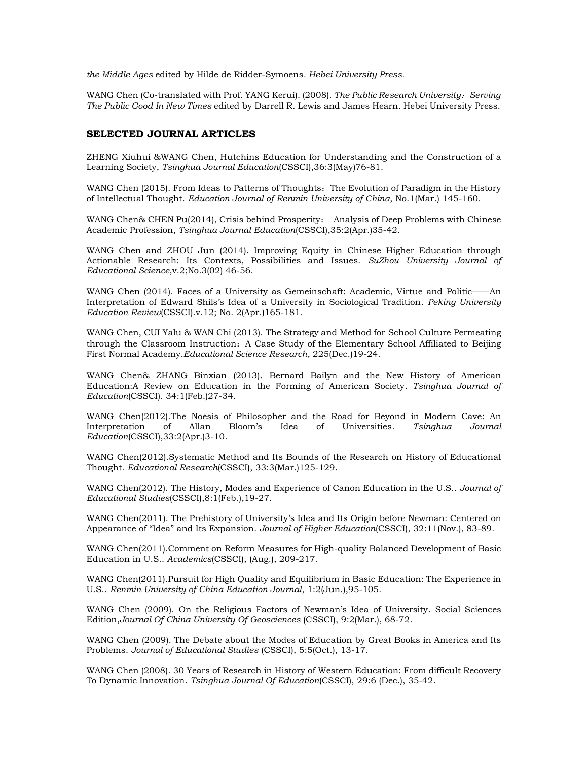*the Middle Ages* edited by Hilde de Ridder-Symoens*. Hebei University Press.* 

WANG Chen (Co-translated with Prof. YANG Kerui). (2008). *The Public Research University: Serving The Public Good In New Times* edited by Darrell R. Lewis and James Hearn. Hebei University Press.

### **SELECTED JOURNAL ARTICLES**

ZHENG Xiuhui &WANG Chen, Hutchins Education for Understanding and the Construction of a Learning Society, *Tsinghua Journal Education*(CSSCI),36:3(May)76-81.

WANG Chen (2015). From Ideas to Patterns of Thoughts: The Evolution of Paradigm in the History of Intellectual Thought. *Education Journal of Renmin University of China*, No.1(Mar.) 145-160.

WANG Chen& CHEN Pu(2014), Crisis behind Prosperity: Analysis of Deep Problems with Chinese Academic Profession, *Tsinghua Journal Education*(CSSCI),35:2(Apr.)35-42.

WANG Chen and ZHOU Jun (2014). Improving Equity in Chinese Higher Education through Actionable Research: Its Contexts, Possibilities and Issues. *SuZhou University Journal of Educational Science*,v.2;No.3(02) 46-56.

WANG Chen (2014). Faces of a University as Gemeinschaft: Academic, Virtue and Politic——An Interpretation of Edward Shils's Idea of a University in Sociological Tradition. *Peking University Education Review*(CSSCI).v.12; No. 2(Apr.)165-181.

WANG Chen, CUI Yalu & WAN Chi (2013). The Strategy and Method for School Culture Permeating through the Classroom Instruction: A Case Study of the Elementary School Affiliated to Beijing First Normal Academy.*Educational Science Research*, 225(Dec.)19-24.

WANG Chen& ZHANG Binxian (2013). Bernard Bailyn and the New History of American Education:A Review on Education in the Forming of American Society. *Tsinghua Journal of Education*(CSSCI). 34:1(Feb.)27-34.

WANG Chen(2012).The Noesis of Philosopher and the Road for Beyond in Modern Cave: An Interpretation of Allan Bloom's Idea of Universities. *Tsinghua Journal Education*(CSSCI),33:2(Apr.)3-10.

WANG Chen(2012).Systematic Method and Its Bounds of the Research on History of Educational Thought. *Educational Research*(CSSCI), 33:3(Mar.)125-129.

WANG Chen(2012). The History, Modes and Experience of Canon Education in the U.S.. *Journal of Educational Studies*(CSSCI),8:1(Feb.),19-27.

WANG Chen(2011). The Prehistory of University's Idea and Its Origin before Newman: Centered on Appearance of "Idea" and Its Expansion. *Journal of Higher Education*(CSSCI), 32:11(Nov.), 83-89.

WANG Chen(2011).Comment on Reform Measures for High-quality Balanced Development of Basic Education in U.S.. *Academics*(CSSCI), (Aug.), 209-217.

WANG Chen(2011).Pursuit for High Quality and Equilibrium in Basic Education: The Experience in U.S.. *Renmin University of China Education Journal*, 1:2(Jun.),95-105.

WANG Chen (2009). On the Religious Factors of Newman's Idea of University. Social Sciences Edition,*Journal Of China University Of Geosciences* (CSSCI), 9:2(Mar.), 68-72.

WANG Chen (2009). The Debate about the Modes of Education by Great Books in America and Its Problems. *Journal of Educational Studies* (CSSCI), 5:5(Oct.), 13-17.

WANG Chen (2008). 30 Years of Research in History of Western Education: From difficult Recovery To Dynamic Innovation. *Tsinghua Journal Of Education*(CSSCI), 29:6 (Dec.), 35-42.